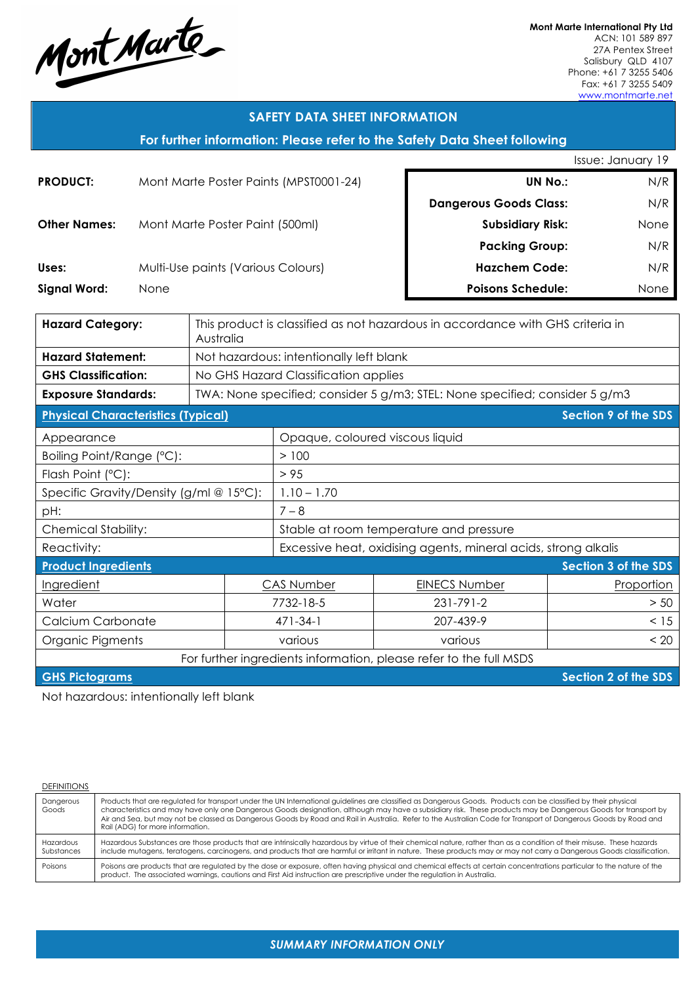Mont Marte

**Mont Marte International Pty Ltd** ACN: 101 589 897 27A Pentex Street Salisbury QLD 4107 Phone: +61 7 3255 5406 Fax: +61 7 3255 5409 www.montmarte.net

| <b>SAFETY DATA SHEET INFORMATION</b>                                     |                                                    |                                                                                |                                                                             |                          |                               |                      |
|--------------------------------------------------------------------------|----------------------------------------------------|--------------------------------------------------------------------------------|-----------------------------------------------------------------------------|--------------------------|-------------------------------|----------------------|
| For further information: Please refer to the Safety Data Sheet following |                                                    |                                                                                |                                                                             |                          |                               |                      |
|                                                                          |                                                    |                                                                                |                                                                             |                          |                               | Issue: January 19    |
| <b>PRODUCT:</b>                                                          | Mont Marte Poster Paints (MPST0001-24)             |                                                                                |                                                                             |                          | <b>UN No.:</b>                |                      |
|                                                                          |                                                    |                                                                                |                                                                             |                          | <b>Dangerous Goods Class:</b> | N/R                  |
| <b>Other Names:</b>                                                      |                                                    | Mont Marte Poster Paint (500ml)                                                |                                                                             |                          | <b>Subsidiary Risk:</b>       | None                 |
|                                                                          |                                                    |                                                                                |                                                                             |                          | <b>Packing Group:</b>         | N/R                  |
| Uses:                                                                    | Multi-Use paints (Various Colours)                 |                                                                                |                                                                             |                          | <b>Hazchem Code:</b>          | N/R                  |
| <b>Signal Word:</b>                                                      | None                                               |                                                                                |                                                                             | <b>Poisons Schedule:</b> |                               |                      |
|                                                                          |                                                    |                                                                                |                                                                             |                          |                               |                      |
| <b>Hazard Category:</b><br>Australia                                     |                                                    | This product is classified as not hazardous in accordance with GHS criteria in |                                                                             |                          |                               |                      |
| <b>Hazard Statement:</b>                                                 |                                                    |                                                                                | Not hazardous: intentionally left blank                                     |                          |                               |                      |
| <b>GHS Classification:</b>                                               |                                                    |                                                                                | No GHS Hazard Classification applies                                        |                          |                               |                      |
| <b>Exposure Standards:</b>                                               |                                                    |                                                                                | TWA: None specified; consider 5 g/m3; STEL: None specified; consider 5 g/m3 |                          |                               |                      |
| <b>Physical Characteristics (Typical)</b>                                |                                                    |                                                                                |                                                                             |                          |                               | Section 9 of the SDS |
| Appearance                                                               |                                                    |                                                                                | Opaque, coloured viscous liquid                                             |                          |                               |                      |
| Boiling Point/Range (°C):                                                |                                                    |                                                                                | >100                                                                        |                          |                               |                      |
| Flash Point (°C):                                                        |                                                    |                                                                                | > 95                                                                        |                          |                               |                      |
| Specific Gravity/Density (g/ml @ 15°C):                                  |                                                    |                                                                                | $1.10 - 1.70$                                                               |                          |                               |                      |
| pH:                                                                      |                                                    |                                                                                | $7 - 8$                                                                     |                          |                               |                      |
| Chemical Stability:                                                      |                                                    |                                                                                | Stable at room temperature and pressure                                     |                          |                               |                      |
| Reactivity:                                                              |                                                    | Excessive heat, oxidising agents, mineral acids, strong alkalis                |                                                                             |                          |                               |                      |
|                                                                          | <b>Product Ingredients</b><br>Section 3 of the SDS |                                                                                |                                                                             |                          |                               |                      |
| Ingredient                                                               |                                                    | <b>CAS Number</b>                                                              |                                                                             | <b>EINECS Number</b>     | Proportion                    |                      |
| Water                                                                    |                                                    | 7732-18-5                                                                      |                                                                             | 231-791-2                | > 50                          |                      |
| Calcium Carbonate                                                        |                                                    | $471 - 34 - 1$                                                                 |                                                                             | 207-439-9                | < 15                          |                      |
| Organic Pigments<br>various<br>various                                   |                                                    |                                                                                | < 20                                                                        |                          |                               |                      |
| For further ingredients information, please refer to the full MSDS       |                                                    |                                                                                |                                                                             |                          |                               |                      |

**GHS Pictograms Section 2 of the SDS** 

Not hazardous: intentionally left blank

| DEFINITIONS |  |
|-------------|--|
|             |  |

| Dangerous<br>Goods      | Products that are regulated for transport under the UN International guidelines are classified as Dangerous Goods. Products can be classified by their physical<br>characteristics and may have only one Dangerous Goods designation, although may have a subsidiary risk. These products may be Dangerous Goods for transport by<br>Air and Sea, but may not be classed as Dangerous Goods by Road and Rail in Australia. Refer to the Australian Code for Transport of Dangerous Goods by Road and<br>Rail (ADG) for more information. |
|-------------------------|------------------------------------------------------------------------------------------------------------------------------------------------------------------------------------------------------------------------------------------------------------------------------------------------------------------------------------------------------------------------------------------------------------------------------------------------------------------------------------------------------------------------------------------|
| Hazardous<br>Substances | Hazardous Substances are those products that are intrinsically hazardous by virtue of their chemical nature, rather than as a condition of their misuse. These hazards<br>include mutagens, teratogens, carcinogens, and products that are harmful or irritant in nature. These products may or may not carry a Dangerous Goods classification.                                                                                                                                                                                          |
| Poisons                 | Poisons are products that are regulated by the dose or exposure, often having physical and chemical effects at certain concentrations particular to the nature of the<br>product. The associated warnings, cautions and First Aid instruction are prescriptive under the regulation in Australia.                                                                                                                                                                                                                                        |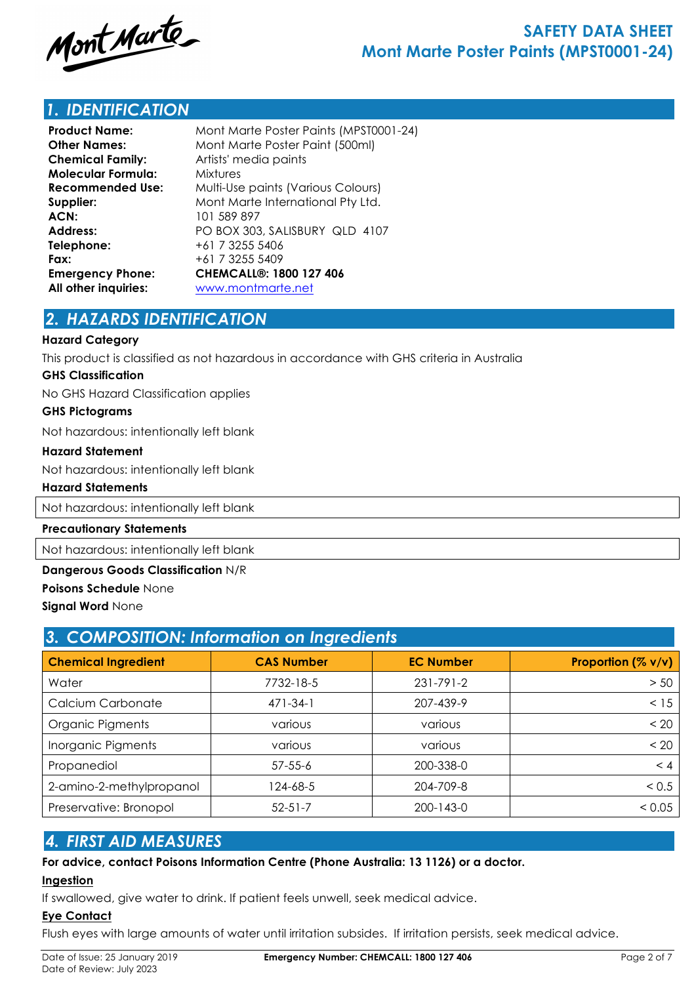

## *1. IDENTIFICATION*

| Mont Marte Poster Paints (MPST0001-24) |  |  |  |
|----------------------------------------|--|--|--|
| Mont Marte Poster Paint (500ml)        |  |  |  |
| Artists' media paints                  |  |  |  |
| <b>Mixtures</b>                        |  |  |  |
| Multi-Use paints (Various Colours)     |  |  |  |
| Mont Marte International Pty Ltd.      |  |  |  |
| 101 589 897                            |  |  |  |
| PO BOX 303, SALISBURY QLD 4107         |  |  |  |
| +61 7 3255 5406                        |  |  |  |
| +61 7 3255 5409                        |  |  |  |
| <b>CHEMCALL®: 1800 127 406</b>         |  |  |  |
| www.montmarte.net                      |  |  |  |
|                                        |  |  |  |

## *2. HAZARDS IDENTIFICATION*

### **Hazard Category**

This product is classified as not hazardous in accordance with GHS criteria in Australia

### **GHS Classification**

No GHS Hazard Classification applies

### **GHS Pictograms**

Not hazardous: intentionally left blank

### **Hazard Statement**

Not hazardous: intentionally left blank

### **Hazard Statements**

Not hazardous: intentionally left blank

### **Precautionary Statements**

Not hazardous: intentionally left blank

### **Dangerous Goods Classification** N/R

**Poisons Schedule** None

### **Signal Word** None

| 3. COMPOSITION: Information on Ingredients |                   |                  |                    |  |  |
|--------------------------------------------|-------------------|------------------|--------------------|--|--|
| <b>Chemical Ingredient</b>                 | <b>CAS Number</b> | <b>EC Number</b> | Proportion (% v/v) |  |  |
| Water                                      | 7732-18-5         | $231 - 791 - 2$  | > 50               |  |  |
| Calcium Carbonate                          | $471 - 34 - 1$    | 207-439-9        | < 15               |  |  |
| Organic Pigments                           | various           | various          | < 20               |  |  |
| Inorganic Pigments                         | various           | various          | < 20               |  |  |
| Propanediol                                | $57 - 55 - 6$     | 200-338-0        | < 4                |  |  |
| 2-amino-2-methylpropanol                   | 124-68-5          | 204-709-8        | < 0.5              |  |  |
| Preservative: Bronopol                     | $52 - 51 - 7$     | $200 - 143 - 0$  | < 0.05             |  |  |

### *4. FIRST AID MEASURES*

### **For advice, contact Poisons Information Centre (Phone Australia: 13 1126) or a doctor.**

### **Ingestion**

If swallowed, give water to drink. If patient feels unwell, seek medical advice.

### **Eye Contact**

Flush eyes with large amounts of water until irritation subsides. If irritation persists, seek medical advice.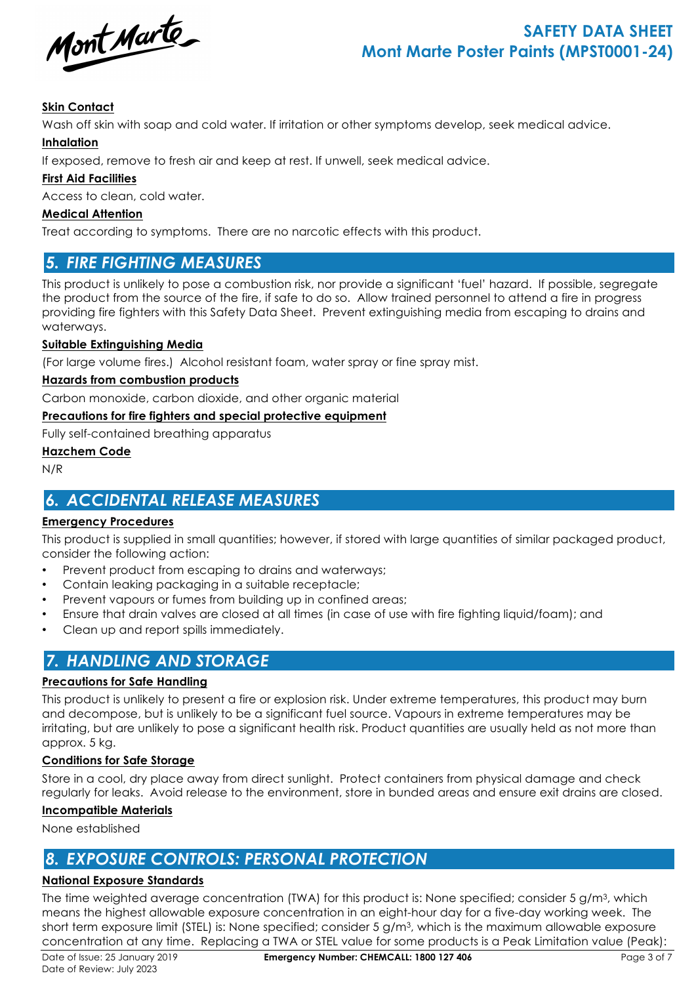

# **SAFETY DATA SHEET Mont Marte Poster Paints (MPST0001-24)**

### **Skin Contact**

Wash off skin with soap and cold water. If irritation or other symptoms develop, seek medical advice.

### **Inhalation**

If exposed, remove to fresh air and keep at rest. If unwell, seek medical advice.

### **First Aid Facilities**

Access to clean, cold water.

### **Medical Attention**

Treat according to symptoms. There are no narcotic effects with this product.

## *5. FIRE FIGHTING MEASURES*

This product is unlikely to pose a combustion risk, nor provide a significant 'fuel' hazard. If possible, segregate the product from the source of the fire, if safe to do so. Allow trained personnel to attend a fire in progress providing fire fighters with this Safety Data Sheet. Prevent extinguishing media from escaping to drains and waterways.

### **Suitable Extinguishing Media**

(For large volume fires.) Alcohol resistant foam, water spray or fine spray mist.

### **Hazards from combustion products**

Carbon monoxide, carbon dioxide, and other organic material

### **Precautions for fire fighters and special protective equipment**

Fully self-contained breathing apparatus

### **Hazchem Code**

N/R

# *6. ACCIDENTAL RELEASE MEASURES*

### **Emergency Procedures**

This product is supplied in small quantities; however, if stored with large quantities of similar packaged product, consider the following action:

- Prevent product from escaping to drains and waterways;
- Contain leaking packaging in a suitable receptacle;
- Prevent vapours or fumes from building up in confined areas;
- Ensure that drain valves are closed at all times (in case of use with fire fighting liquid/foam); and
- Clean up and report spills immediately.

## *7. HANDLING AND STORAGE*

### **Precautions for Safe Handling**

This product is unlikely to present a fire or explosion risk. Under extreme temperatures, this product may burn and decompose, but is unlikely to be a significant fuel source. Vapours in extreme temperatures may be irritating, but are unlikely to pose a significant health risk. Product quantities are usually held as not more than approx. 5 kg.

### **Conditions for Safe Storage**

Store in a cool, dry place away from direct sunlight. Protect containers from physical damage and check regularly for leaks. Avoid release to the environment, store in bunded areas and ensure exit drains are closed.

### **Incompatible Materials**

None established

## *8. EXPOSURE CONTROLS: PERSONAL PROTECTION*

### **National Exposure Standards**

The time weighted average concentration (TWA) for this product is: None specified; consider 5 g/m<sup>3</sup>, which means the highest allowable exposure concentration in an eight-hour day for a five-day working week. The short term exposure limit (STEL) is: None specified; consider 5 g/m3, which is the maximum allowable exposure concentration at any time. Replacing a TWA or STEL value for some products is a Peak Limitation value (Peak):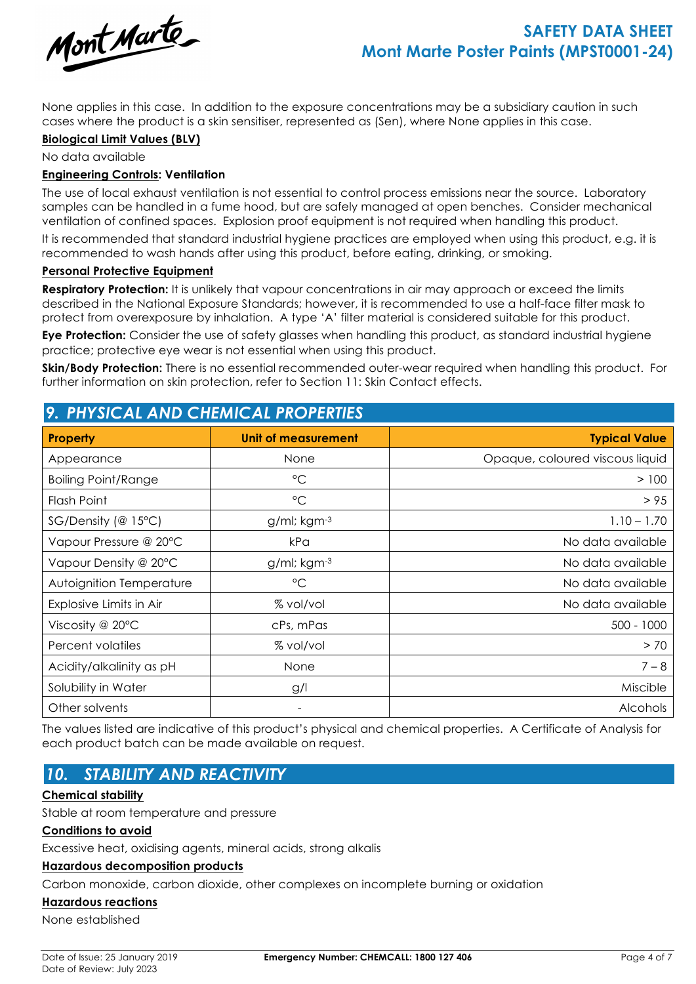

None applies in this case. In addition to the exposure concentrations may be a subsidiary caution in such cases where the product is a skin sensitiser, represented as (Sen), where None applies in this case.

### **Biological Limit Values (BLV)**

No data available

### **Engineering Controls: Ventilation**

The use of local exhaust ventilation is not essential to control process emissions near the source. Laboratory samples can be handled in a fume hood, but are safely managed at open benches. Consider mechanical ventilation of confined spaces. Explosion proof equipment is not required when handling this product.

It is recommended that standard industrial hygiene practices are employed when using this product, e.g. it is recommended to wash hands after using this product, before eating, drinking, or smoking.

### **Personal Protective Equipment**

**Respiratory Protection:** It is unlikely that vapour concentrations in air may approach or exceed the limits described in the National Exposure Standards; however, it is recommended to use a half-face filter mask to protect from overexposure by inhalation. A type 'A' filter material is considered suitable for this product.

**Eye Protection:** Consider the use of safety glasses when handling this product, as standard industrial hygiene practice; protective eye wear is not essential when using this product.

**Skin/Body Protection:** There is no essential recommended outer-wear required when handling this product. For further information on skin protection, refer to Section 11: Skin Contact effects.

| <u>7. PHISICAL AND CHEMICAL PROPERTIES</u> |                          |                                 |  |  |
|--------------------------------------------|--------------------------|---------------------------------|--|--|
| <b>Property</b>                            | Unit of measurement      | <b>Typical Value</b>            |  |  |
| Appearance                                 | None                     | Opaque, coloured viscous liquid |  |  |
| <b>Boiling Point/Range</b>                 | $^{\circ}C$              | > 100                           |  |  |
| Flash Point                                | $\rm ^{\circ}C$          | > 95                            |  |  |
| $SG/Density$ (@ 15°C)                      | g/ml; kgm-3              | $1.10 - 1.70$                   |  |  |
| Vapour Pressure @ 20°C                     | kPa                      | No data available               |  |  |
| Vapour Density @ 20°C                      | g/ml; kgm-3              | No data available               |  |  |
| Autoignition Temperature                   | $\rm ^{\circ}C$          | No data available               |  |  |
| Explosive Limits in Air                    | % vol/vol                | No data available               |  |  |
| Viscosity @ $20^{\circ}$ C                 | cPs, mPas                | $500 - 1000$                    |  |  |
| Percent volatiles                          | % vol/vol                | > 70                            |  |  |
| Acidity/alkalinity as pH                   | None                     | $7 - 8$                         |  |  |
| Solubility in Water                        | g/l                      | Miscible                        |  |  |
| Other solvents                             | $\overline{\phantom{a}}$ | <b>Alcohols</b>                 |  |  |

# *9. PHYSICAL AND CHEMICAL PROPERTIES*

The values listed are indicative of this product's physical and chemical properties. A Certificate of Analysis for each product batch can be made available on request.

# *10. STABILITY AND REACTIVITY*

### **Chemical stability**

Stable at room temperature and pressure

### **Conditions to avoid**

Excessive heat, oxidising agents, mineral acids, strong alkalis

### **Hazardous decomposition products**

Carbon monoxide, carbon dioxide, other complexes on incomplete burning or oxidation

### **Hazardous reactions**

None established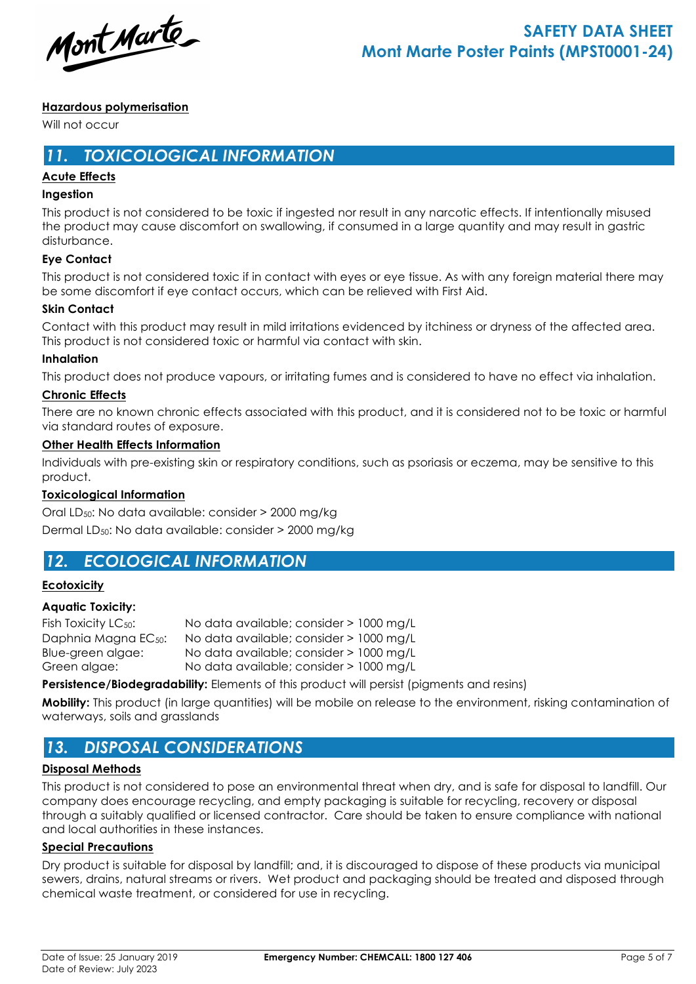Mont Marte

### **Hazardous polymerisation**

Will not occur

## *11. TOXICOLOGICAL INFORMATION*

### **Acute Effects**

### **Ingestion**

This product is not considered to be toxic if ingested nor result in any narcotic effects. If intentionally misused the product may cause discomfort on swallowing, if consumed in a large quantity and may result in gastric disturbance.

### **Eye Contact**

This product is not considered toxic if in contact with eyes or eye tissue. As with any foreign material there may be some discomfort if eye contact occurs, which can be relieved with First Aid.

### **Skin Contact**

Contact with this product may result in mild irritations evidenced by itchiness or dryness of the affected area. This product is not considered toxic or harmful via contact with skin.

### **Inhalation**

This product does not produce vapours, or irritating fumes and is considered to have no effect via inhalation.

### **Chronic Effects**

There are no known chronic effects associated with this product, and it is considered not to be toxic or harmful via standard routes of exposure.

### **Other Health Effects Information**

Individuals with pre-existing skin or respiratory conditions, such as psoriasis or eczema, may be sensitive to this product.

### **Toxicological Information**

Oral LD50: No data available: consider > 2000 mg/kg Dermal LD50: No data available: consider > 2000 mg/kg

# *12. ECOLOGICAL INFORMATION*

### **Ecotoxicity**

### **Aquatic Toxicity:**

| Fish Toxicity LC <sub>50</sub> : | No data available; consider > 1000 mg/L |  |
|----------------------------------|-----------------------------------------|--|
| Daphnia Magna EC <sub>50</sub> : | No data available; consider > 1000 mg/L |  |
| Blue-green algae:                | No data available; consider > 1000 mg/L |  |
| Green algae:                     | No data available; consider > 1000 mg/L |  |

**Persistence/Biodegradability:** Elements of this product will persist (pigments and resins)

**Mobility:** This product (in large quantities) will be mobile on release to the environment, risking contamination of waterways, soils and grasslands

# *13. DISPOSAL CONSIDERATIONS*

### **Disposal Methods**

This product is not considered to pose an environmental threat when dry, and is safe for disposal to landfill. Our company does encourage recycling, and empty packaging is suitable for recycling, recovery or disposal through a suitably qualified or licensed contractor. Care should be taken to ensure compliance with national and local authorities in these instances.

### **Special Precautions**

Dry product is suitable for disposal by landfill; and, it is discouraged to dispose of these products via municipal sewers, drains, natural streams or rivers. Wet product and packaging should be treated and disposed through chemical waste treatment, or considered for use in recycling.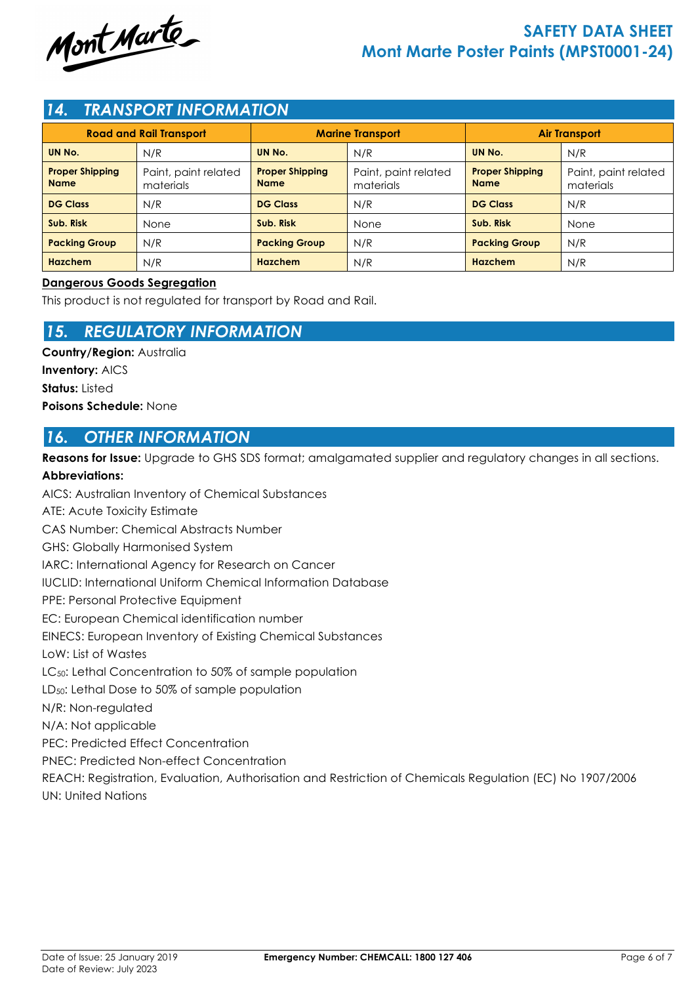

# **SAFETY DATA SHEET Mont Marte Poster Paints (MPST0001-24)**

## *14. TRANSPORT INFORMATION*

| <b>Road and Rail Transport</b>        |                                   | <b>Marine Transport</b>               |                                   | <b>Air Transport</b>                  |                                   |
|---------------------------------------|-----------------------------------|---------------------------------------|-----------------------------------|---------------------------------------|-----------------------------------|
| UN No.                                | N/R                               | UN No.                                | N/R                               | UN No.                                | N/R                               |
| <b>Proper Shipping</b><br><b>Name</b> | Paint, paint related<br>materials | <b>Proper Shipping</b><br><b>Name</b> | Paint, paint related<br>materials | <b>Proper Shipping</b><br><b>Name</b> | Paint, paint related<br>materials |
| <b>DG Class</b>                       | N/R                               | <b>DG Class</b>                       | N/R                               | <b>DG Class</b>                       | N/R                               |
| Sub. Risk                             | None                              | Sub. Risk                             | None                              | Sub. Risk                             | None                              |
| <b>Packing Group</b>                  | N/R                               | <b>Packing Group</b>                  | N/R                               | <b>Packing Group</b>                  | N/R                               |
| <b>Hazchem</b>                        | N/R                               | <b>Hazchem</b>                        | N/R                               | Hazchem                               | N/R                               |

### **Dangerous Goods Segregation**

This product is not regulated for transport by Road and Rail.

## *15. REGULATORY INFORMATION*

**Country/Region:** Australia **Inventory:** AICS **Status:** Listed **Poisons Schedule:** None

## *16. OTHER INFORMATION*

**Reasons for Issue:** Upgrade to GHS SDS format; amalgamated supplier and regulatory changes in all sections.

### **Abbreviations:**

AICS: Australian Inventory of Chemical Substances ATE: Acute Toxicity Estimate CAS Number: Chemical Abstracts Number GHS: Globally Harmonised System IARC: International Agency for Research on Cancer IUCLID: International Uniform Chemical Information Database PPE: Personal Protective Equipment EC: European Chemical identification number EINECS: European Inventory of Existing Chemical Substances LoW: List of Wastes LC<sub>50</sub>: Lethal Concentration to 50% of sample population LD50: Lethal Dose to 50% of sample population N/R: Non-regulated N/A: Not applicable PEC: Predicted Effect Concentration PNEC: Predicted Non-effect Concentration REACH: Registration, Evaluation, Authorisation and Restriction of Chemicals Regulation (EC) No 1907/2006 UN: United Nations